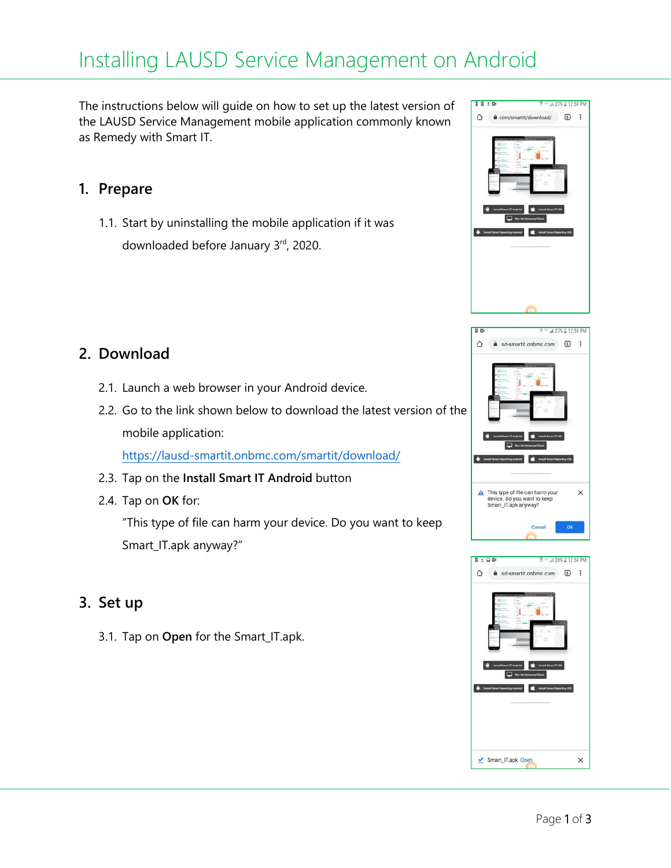# Installing LAUSD Service Management on Android

The instructions below will guide on how to set up the latest version of the LAUSD Service Management mobile application commonly known as Remedy with Smart IT.

#### **1. Prepare**

1.1. Start by uninstalling the mobile application if it was downloaded before January 3rd, 2020.

### **2. Download**

- 2.1. Launch a web browser in your Android device.
- 2.2. Go to the link shown below to download the latest version of the mobile application:

<https://lausd-smartit.onbmc.com/smartit/download/>

- 2.3. Tap on the **Install Smart IT Android** button
- 2.4. Tap on **OK** for:

"This type of file can harm your device. Do you want to keep Smart\_IT.apk anyway?"

#### **3. Set up**

3.1. Tap on **Open** for the Smart\_IT.apk.





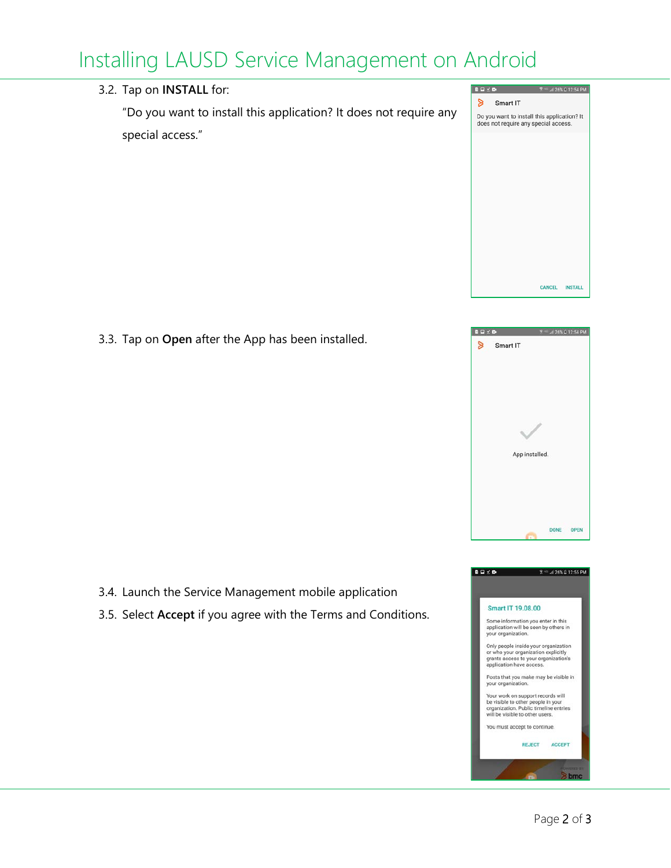## Installing LAUSD Service Management on Android



3.3. Tap on **Open** after the App has been installed.



CANCEL INSTALL

- 3.4. Launch the Service Management mobile application
- 3.5. Select **Accept** if you agree with the Terms and Conditions.